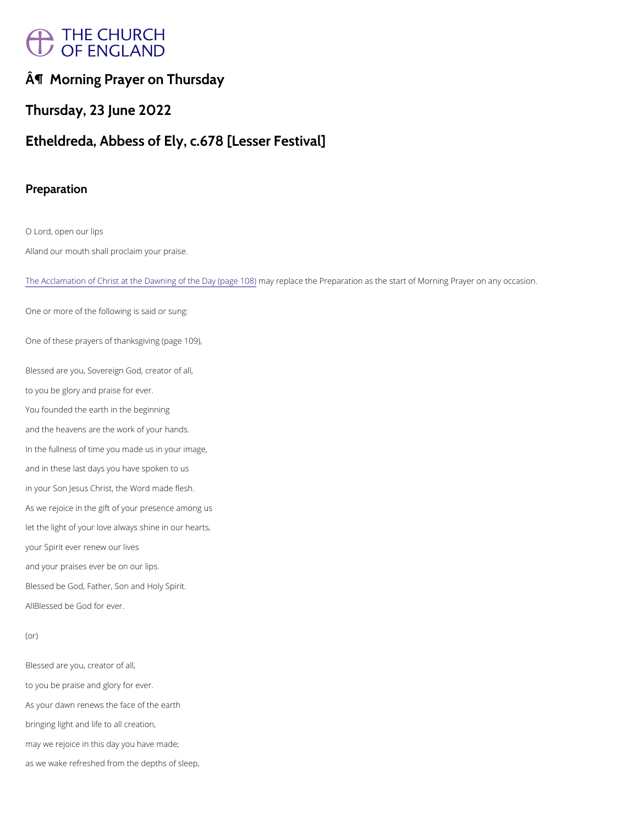# THE CHURCH

¶ Morning Prayer on Thursday

Thursday, 23 June 2022

O Lord, open our lips A band our mouth shall proclaim your praise.

[The Acclamation of Christ at the Dawnin](https://cwdp.oremus.org//morneve/dawning.html)**g ay the place (page**re1p0a8r)ation as the start of Morning Prayer on a

Etheldreda, Abbess of Ely, c.678 [Lesser Festival]

Preparation

Blessed are you, Sovereign God, creator of all, to you be glory and praise for ever. You founded the earth in the beginning and the heavens are the work of your hands. In the fullness of time you made us in your image, and in these last days you have spoken to us in your Son Jesus Christ, the Word made flesh. As we rejoice in the gift of your presence among us let the light of your love always shine in our hearts, your Spirit ever renew our lives and your praises ever be on our lips. Blessed be God, Father, Son and Holy Spirit. ABlessed be God for ever.

One or more of the following is said or sung:

One of these prayers of thanksgiving (page 109),

Blessed are you, creator of all,

to you be praise and glory for ever.

As your dawn renews the face of the earth

bringing light and life to all creation,

may we rejoice in this day you have made;

as we wake refreshed from the depths of sleep,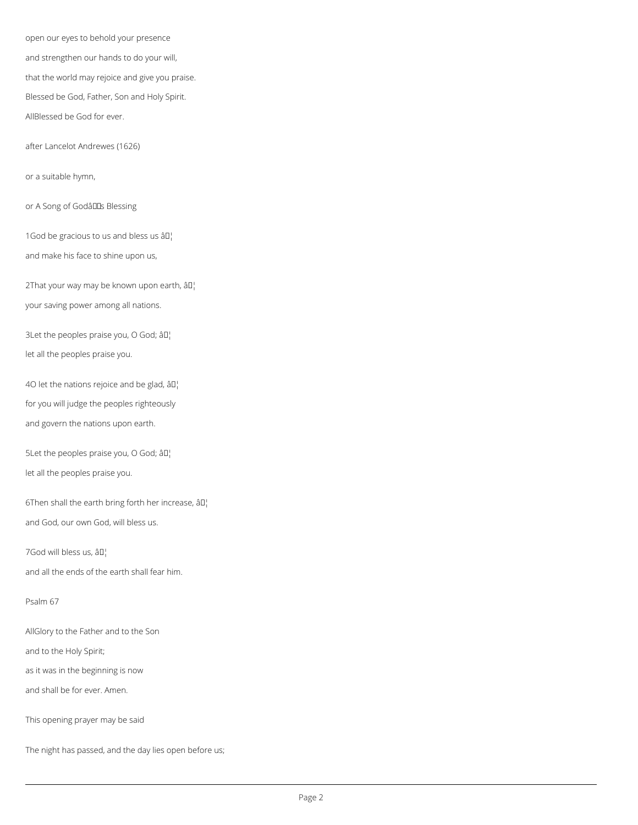open our eyes to behold your presence and strengthen our hands to do your will, that the world may rejoice and give you praise. Blessed be God, Father, Son and Holy Spirit. AllBlessed be God for ever.

after Lancelot Andrewes (1626)

2That your way may be known upon earth,  $\partial I$ your saving power among all nations.

or a suitable hymn,

or A Song of GodâlILs Blessing

1God be gracious to us and bless us  $a \Box$ 

3Let the peoples praise you, O God;  $\partial I$ let all the peoples praise you.

4O let the nations rejoice and be glad,  $\partial I$ for you will judge the peoples righteously and govern the nations upon earth.

and make his face to shine upon us,

5Let the peoples praise you, O God;  $\partial \mathbb{I}^1$ let all the peoples praise you.

6Then shall the earth bring forth her increase,  $\partial \mathbb{I}^1$ and God, our own God, will bless us.

7God will bless us, âD¦

and all the ends of the earth shall fear him.

Psalm 67

AllGlory to the Father and to the Son

and to the Holy Spirit;

as it was in the beginning is now

and shall be for ever. Amen.

This opening prayer may be said

The night has passed, and the day lies open before us;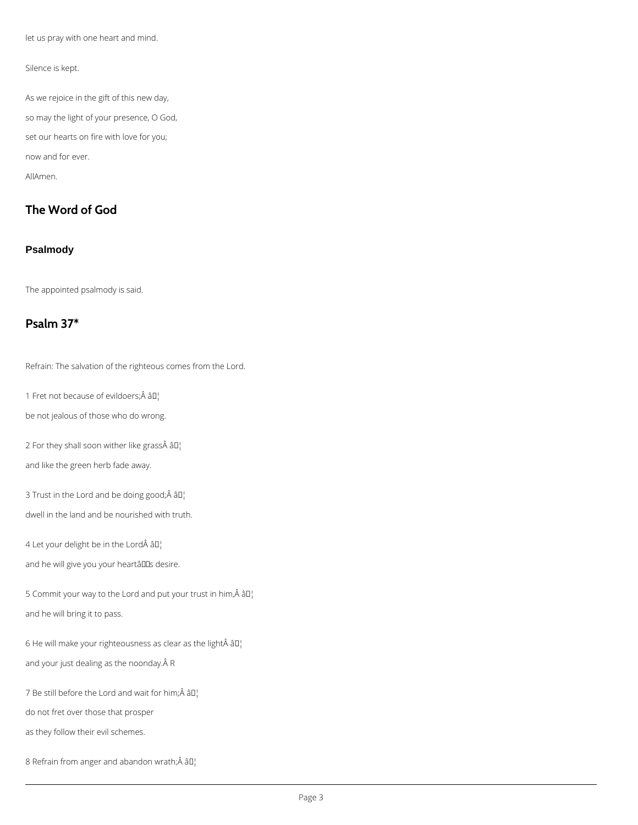let us pray with one heart and mind.

## Silence is kept.

As we rejoice in the gift of this new day, so may the light of your presence, O God, set our hearts on fire with love for you; now and for ever. AllAmen.

# **The Word of God**

## **Psalmody**

The appointed psalmody is said.

# **Psalm 37\***

Refrain: The salvation of the righteous comes from the Lord.

1 Fret not because of evildoers; $\hat{A}$  â $\Pi_1^1$ 

5 Commit your way to the Lord and put your trust in him, $\hat{A}$  âll and he will bring it to pass.

6 He will make your righteousness as clear as the light  $\hat{A}$   $\hat{a}$  $\Gamma$ 

and your just dealing as the noonday. Â R

7 Be still before the Lord and wait for him; $\hat{A}$   $\hat{a}$  $\Gamma$ 

be not jealous of those who do wrong.

2 For they shall soon wither like grass $\hat{A}$   $\hat{a}$  $\Gamma$ 

and like the green herb fade away.

3 Trust in the Lord and be doing good; $\hat{A}$  â $I$ ]

dwell in the land and be nourished with truth.

4 Let your delight be in the Lord âD¦

and he will give you your heartâlls desire.

do not fret over those that prosper

as they follow their evil schemes.

8 Refrain from anger and abandon wrath; $\hat{A}$  â $I$ <sup>1</sup>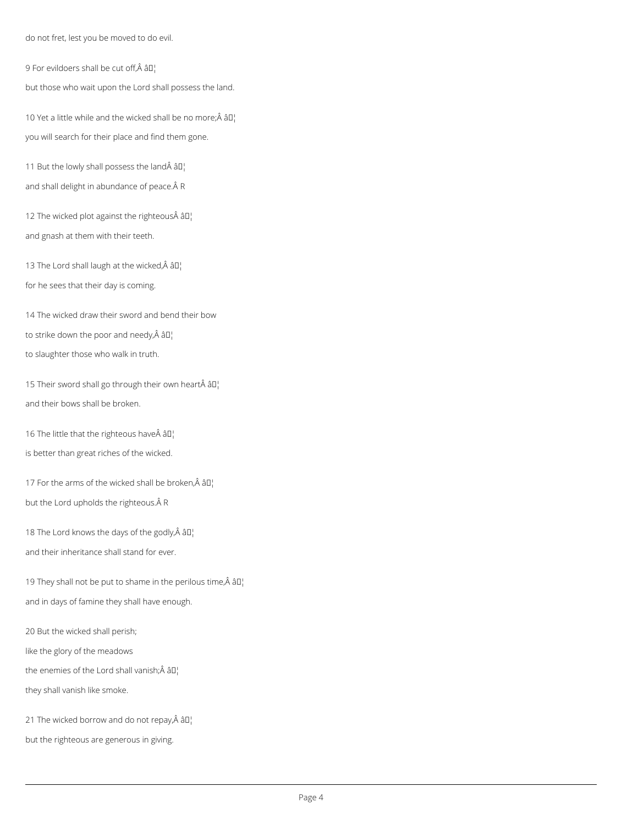do not fret, lest you be moved to do evil.

9 For evildoers shall be cut off, $\hat{A}$  â $\Box$ 

but those who wait upon the Lord shall possess the land.

10 Yet a little while and the wicked shall be no more; $\hat{A}$   $\hat{a}$  $\hat{a}$ ] you will search for their place and find them gone.

11 But the lowly shall possess the land $\hat{A}$  â $I$ <sup>1</sup> and shall delight in abundance of peace. Â R

12 The wicked plot against the righteous $\hat{A}$  âll and gnash at them with their teeth.

13 The Lord shall laugh at the wicked, $\hat{A}$  â $\Gamma$ for he sees that their day is coming.

15 Their sword shall go through their own heart  $\partial D_1$ and their bows shall be broken.

16 The little that the righteous have $\hat{A}$   $\hat{a}$  $\Gamma$ 

18 The Lord knows the days of the godly, $\hat{A}$  âll and their inheritance shall stand for ever.

19 They shall not be put to shame in the perilous time,  $\hat{A}$   $\hat{a}$  $\Gamma$ and in days of famine they shall have enough.

14 The wicked draw their sword and bend their bow to strike down the poor and needy, $\hat{A}$  â $\Box$ to slaughter those who walk in truth.

is better than great riches of the wicked.

17 For the arms of the wicked shall be broken, $\hat{A}$  â $\Box$ but the Lord upholds the righteous. Â R

20 But the wicked shall perish;

like the glory of the meadows

the enemies of the Lord shall vanish; $\hat{A}$   $\hat{a}$  $\Gamma$ 

they shall vanish like smoke.

21 The wicked borrow and do not repay, $\hat{A}$   $\hat{a}$  $\hat{a}$ ]

but the righteous are generous in giving.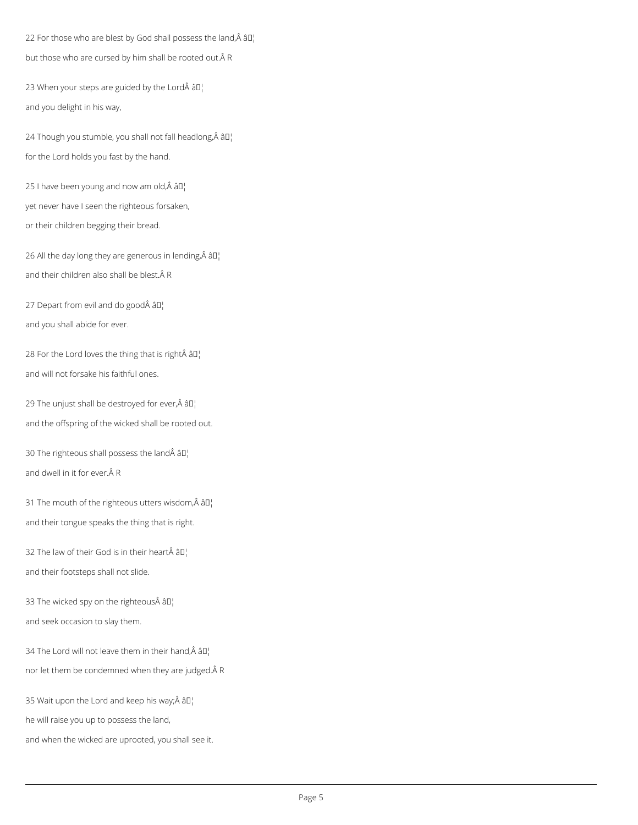22 For those who are blest by God shall possess the land, $\hat{A}$  â $II_1$ but those who are cursed by him shall be rooted out.ÂR

23 When your steps are guided by the Lord $\hat{A}$   $\hat{a}$  $\Gamma$ and you delight in his way,

24 Though you stumble, you shall not fall headlong, $\hat{A}$  âll for the Lord holds you fast by the hand.

25 I have been young and now am old, $\hat{A}$  â $\Box$ yet never have I seen the righteous forsaken, or their children begging their bread.

26 All the day long they are generous in lending, $\hat{A}$  âll and their children also shall be blest. Â R

27 Depart from evil and do good  $\hat{a} \Pi_1^{\dagger}$ and you shall abide for ever.

28 For the Lord loves the thing that is right  $\hat{a}$   $\Box$ and will not forsake his faithful ones.

29 The unjust shall be destroyed for ever, $\hat{A}$  â $\Pi$ . and the offspring of the wicked shall be rooted out.

30 The righteous shall possess the land $\hat{A}$  âll] and dwell in it for ever. $\hat{A}$  R

31 The mouth of the righteous utters wisdom, $\hat{A}$  â $\Box$ and their tongue speaks the thing that is right.

32 The law of their God is in their heart $\hat{A}$   $\hat{a}$  $\Gamma$ and their footsteps shall not slide.

33 The wicked spy on the righteous $\hat{A}$   $\hat{a}$  $\Gamma$ 

and seek occasion to slay them.

34 The Lord will not leave them in their hand, $\hat{A}$  â $I_I$ 

nor let them be condemned when they are judged. AR

35 Wait upon the Lord and keep his way; $\hat{A}$   $\hat{a}$  $\hat{a}$  $\hat{b}$ 

he will raise you up to possess the land,

and when the wicked are uprooted, you shall see it.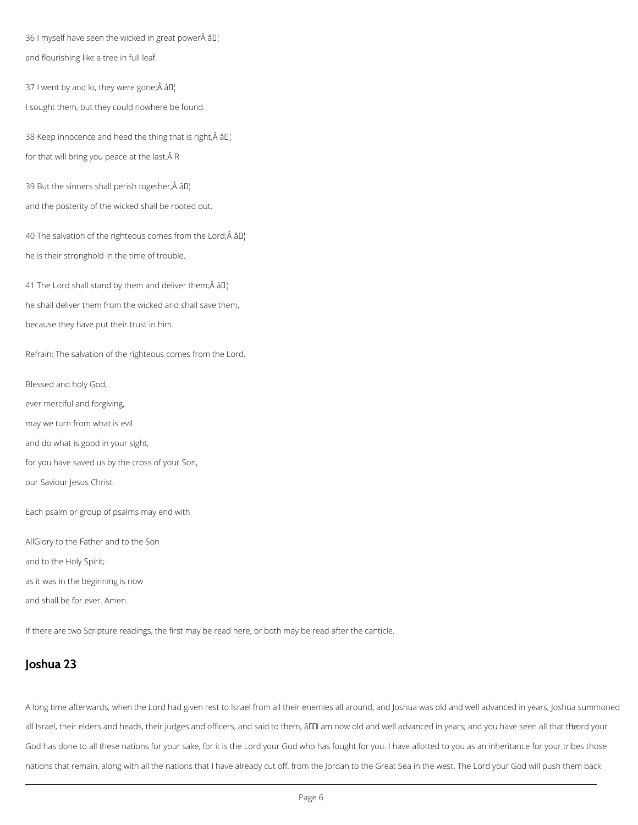36 I myself have seen the wicked in great power $\hat{A}$  âll and flourishing like a tree in full leaf.

37 I went by and lo, they were gone; $\hat{A}$   $\hat{a}$  $\Gamma$ I sought them, but they could nowhere be found.

38 Keep innocence and heed the thing that is right, $\hat{A}$   $\hat{a}$  $\Box$ for that will bring you peace at the last. $\hat{A}$  R

39 But the sinners shall perish together, $\hat{A}$   $\hat{a}$  $\hat{a}$ ] and the posterity of the wicked shall be rooted out.

40 The salvation of the righteous comes from the Lord; $\hat{A}$  âll] he is their stronghold in the time of trouble.

41 The Lord shall stand by them and deliver them; $\hat{A}$   $\hat{a}$  $\Gamma$ he shall deliver them from the wicked and shall save them, because they have put their trust in him.

Refrain: The salvation of the righteous comes from the Lord.

Blessed and holy God, ever merciful and forgiving, may we turn from what is evil and do what is good in your sight, for you have saved us by the cross of your Son, our Saviour Jesus Christ.

Each psalm or group of psalms may end with

AllGlory to the Father and to the Son

and to the Holy Spirit;

as it was in the beginning is now

and shall be for ever. Amen.

If there are two Scripture readings, the first may be read here, or both may be read after the canticle.

## **Joshua 23**

A long time afterwards, when the Lord had given rest to Israel from all their enemies all around, and Joshua was old and well advanced in years, Joshua summoned

all Israel, their elders and heads, their judges and officers, and said to them, â00 am now old and well advanced in years; and you have seen all that the rd your

God has done to all these nations for your sake, for it is the Lord your God who has fought for you. I have allotted to you as an inheritance for your tribes those

nations that remain, along with all the nations that I have already cut off, from the Jordan to the Great Sea in the west. The Lord your God will push them back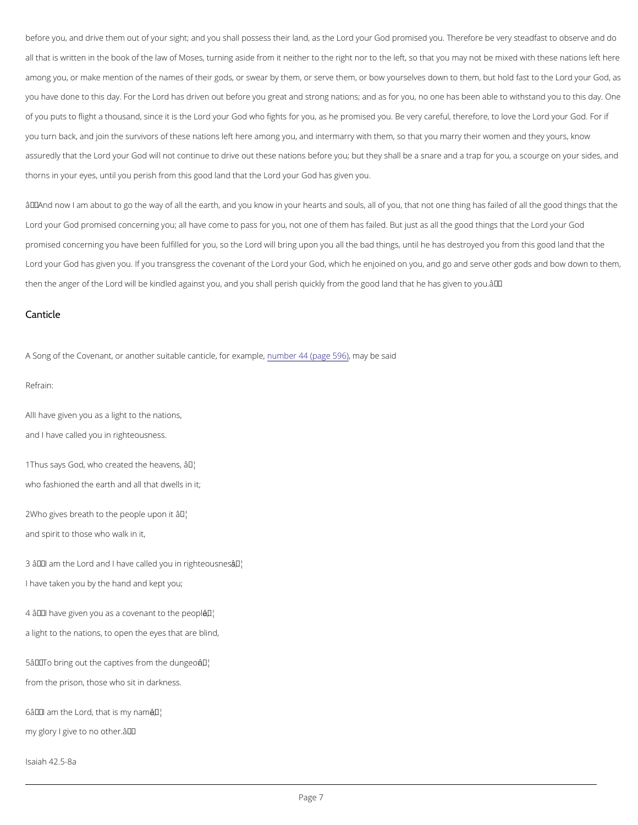before you, and drive them out of your sight; and you Lsohredylol upro Gisoeds probhnelisseldanyob, uasThe be efore be very stead all that is written in the book of the law of Moses, turning aside from it neither to the right nor to the le among you, or make mention of the names of their gods, or swear by them, or serve them, bortopowurd Guorde you have done to this Lobarych a Fsod rtilven out before you great and strong nations; and as for you, no one has of you puts to flight a thousalnodr,dysoinnceGotdisvhtbefights for you, as he promised you. Be veloy dcannefGob,dthFeore you turn back, and join the survivors of these nations left here among you, and intermarry with them, so assuredly thlad roth and The Cod will not continue to drive out these nations before you; but they shall be a snar thorns in your eyes, until you perish from Lotholyso good Gob olah alst hog at et mine you.

 $\hat{a} \in \tilde{a}$  and now I am about to go the way of all the earth, and you know in your hearts and souls, all of you, Lord your God promised concerning you; all have come to pass for you, not one of them Lhoarsd that fedeod but ju promised concerning you have been full oirldweid Ifbring ouu, pson tyhoeu all the bad things, until he has destroyed y Lord your God has given you. If you transgriess ed the coord pawhic off the eenjoined on you, and go and serve othe then the ange**t confolwihle** be kindled against you, and you shall perish quickly from the good land that he has

All have given you as a light to the nations, and I have called you in righteousness.

 $1$ Thus says God, who create $\hat{\alpha}$ <sup>TM</sup>the heavens, who fashioned the earth and all that dwells in it;

 $2W$  ho gives breath to the  $\hat{p}$   $\hat{e}$   $\hat{v}$   $\hat{p}$  le upon it and spirit to those who walk in it,

 $3$   $\hat{a} \in \tilde{a}$  am the Lord and I have called  $\tilde{a}$   $\tilde{y}$  bu in righteousness, I have taken you by the hand and kept you;

 $4$   $a \in \infty$  have given you as a cov $a$  Mant to the people,

#### Canticle

A Song of the Covenant, or another suitable emota enti4c4e (praggreme  $\bar{a}$ y $\hat{a}$  and  $\bar{b}$ ) per said

Refrain:

a light to the nations, to open the eyes that are blind,

 $5\hat{a} \in \tilde{a}$  To bring out the captives  $\tilde{a}$  *F*<sup>6</sup> $\mid$ m the dungeon,

from the prison, those who sit in darkness.

 $6\hat{a} \in \tilde{a}$  am the Lord, tha $\hat{a}$ t<sup> $m$ </sup>k my name;

 $my$  glory I give to no other.  $\hat{a} \in \mathbb{M}$ 

Isaiah 42.5-8a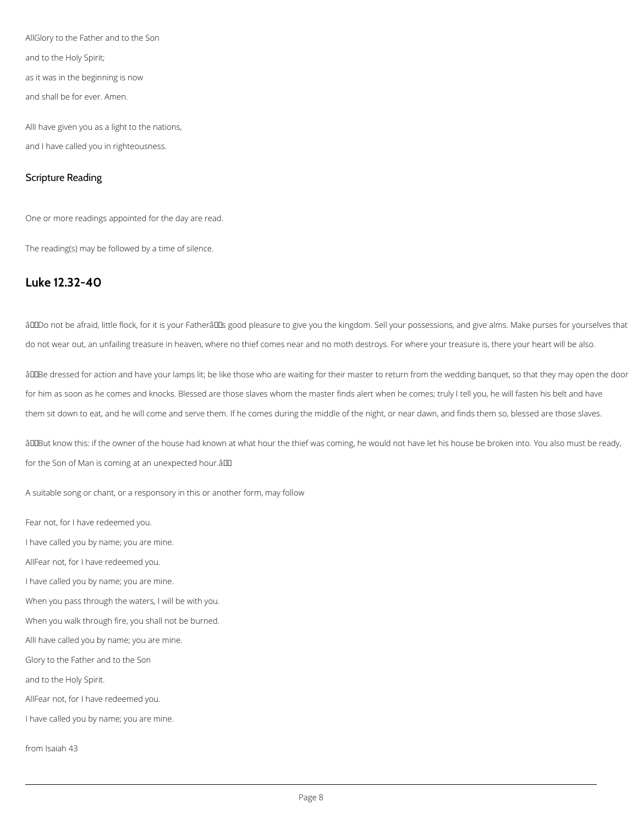AllGlory to the Father and to the Son

and to the Holy Spirit;

as it was in the beginning is now

and shall be for ever. Amen.

AllI have given you as a light to the nations, and I have called you in righteousness.

## Scripture Reading

One or more readings appointed for the day are read.

The reading(s) may be followed by a time of silence.

âDDDo not be afraid, little flock, for it is your FatherâDDs good pleasure to give you the kingdom. Sell your possessions, and give alms. Make purses for yourselves that do not wear out, an unfailing treasure in heaven, where no thief comes near and no moth destroys. For where your treasure is, there your heart will be also.

## **Luke 12.32-40**

âDDBe dressed for action and have your lamps lit; be like those who are waiting for their master to return from the wedding banquet, so that they may open the door for him as soon as he comes and knocks. Blessed are those slaves whom the master finds alert when he comes; truly I tell you, he will fasten his belt and have them sit down to eat, and he will come and serve them. If he comes during the middle of the night, or near dawn, and finds them so, blessed are those slaves.

âDDBut know this: if the owner of the house had known at what hour the thief was coming, he would not have let his house be broken into. You also must be ready, for the Son of Man is coming at an unexpected hour.â

A suitable song or chant, or a responsory in this or another form, may follow

Fear not, for I have redeemed you.

I have called you by name; you are mine.

AllFear not, for I have redeemed you.

I have called you by name; you are mine.

When you pass through the waters, I will be with you.

When you walk through fire, you shall not be burned.

AllI have called you by name; you are mine.

Glory to the Father and to the Son

and to the Holy Spirit.

AllFear not, for I have redeemed you.

I have called you by name; you are mine.

from Isaiah 43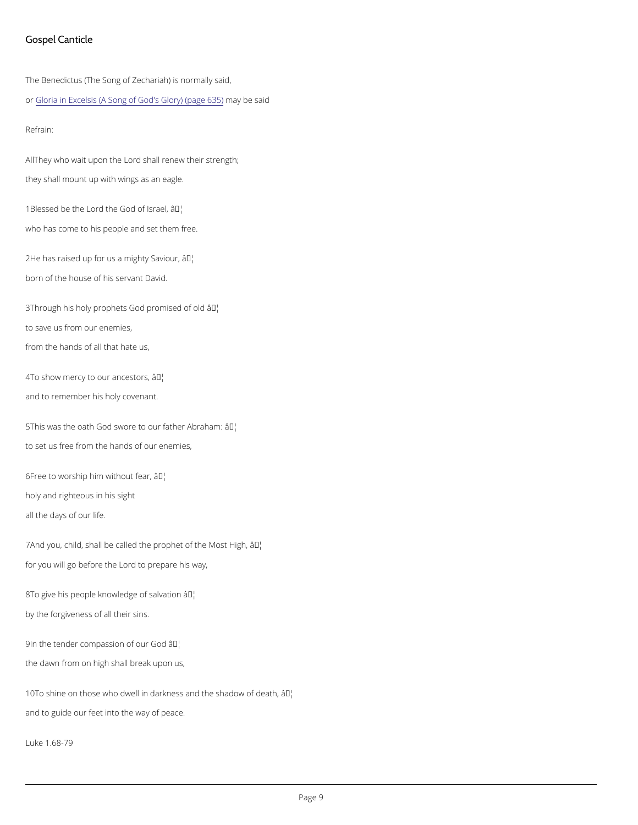#### Gospel Canticle

The Benedictus (The Song of Zechariah) is normally said, o[r Gloria in Excelsis \(A Song of Go](https://cwdp.oremus.org//canticles/othercanticles/78.html)d min y Glover ys ai (oping e 635)

All They who wait upon the Lord shall renew their strength; they shall mount up with wings as an eagle.

Refrain:

1Blessed be the Lord the  $\partial \mathcal{F}$ bd of Israel, who has come to his people and set them free.

 $2He$  has raised up for us a  $an$ Mghty Saviour, born of the house of his servant David.

3Through his holy prophets Godap<sup>th</sup>bmised of old to save us from our enemies, from the hands of all that hate us,

4To show mercy to ourâ  $\frac{1}{2}$  of  $\frac{1}{2}$  cestors, and to remember his holy covenant.

 $5$ This was the oath God swore to o $\hat{a}$  *T<sup>M</sup>father Abraham*: to set us free from the hands of our enemies,

 $6$ Free to worship him wait thiout fear, holy and righteous in his sight all the days of our life.

7And you, child, shall be called the proapt the Most High, for you will go before the Lord to prepare his way,

8To give his people knowled $\frac{1}{2}$  of salvation

by the forgiveness of all their sins.

9In the tender compassio a<sup>TN</sup>bif our God

the dawn from on high shall break upon us,

10To shine on those who dwell in darkness a the shadow of death,

and to guide our feet into the way of peace.

Luke 1.68-79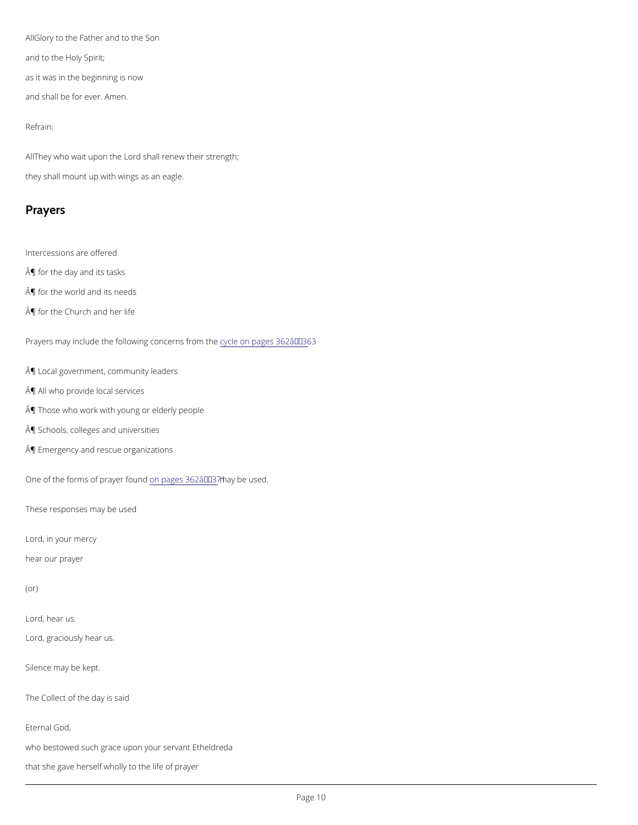AlGlory to the Father and to the Son and to the Holy Spirit; as it was in the beginning is now and shall be for ever. Amen.

All hey who wait upon the Lord shall renew their strength; they shall mount up with wings as an eagle.

Refrain:

Prayers

Intercessions are offered

¶ for the day and its tasks

¶ for the world and its needs

Affor the Church and her life

Prayers may include the following c  $x$  on ecenn pages 362 â $\epsilon$  "363

A *I* Local government, community leaders

¶ All who provide local services

¶ Those who work with young or elderly people

¶ Schools, colleges and universities

¶ Emergency and rescue organizations

One of the forms of pomypages m3d5 2ma a Ey' 3b 7e1 used.

These responses may be used

Lord, in your mercy

hear our prayer

(or)

Lord, hear us.

Lord, graciously hear us.

Silence may be kept.

The Collect of the day is said

Eternal God,

who bestowed such grace upon your servant Etheldreda

that she gave herself wholly to the life of prayer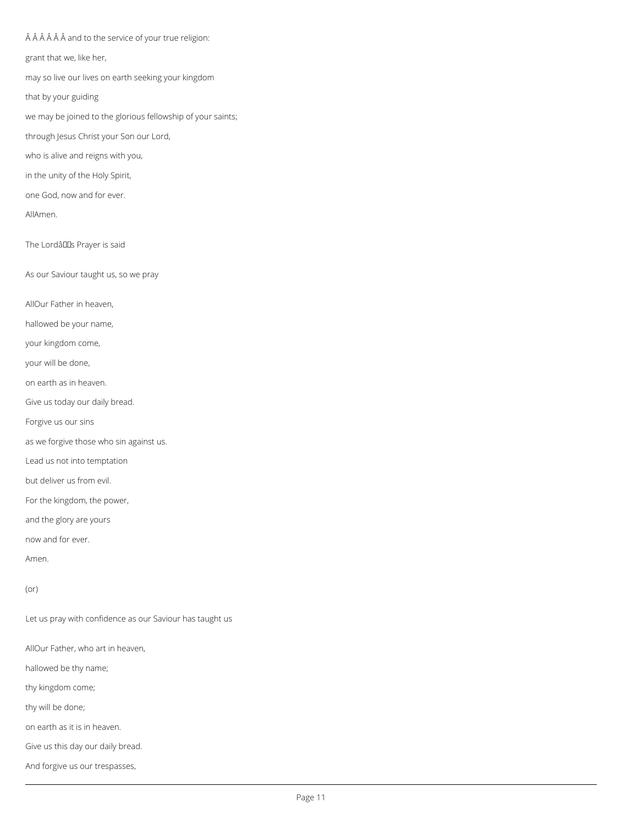Â Â Â Â Â and to the service of your true religion: grant that we, like her, may so live our lives on earth seeking your kingdom that by your guiding we may be joined to the glorious fellowship of your saints; through Jesus Christ your Son our Lord, who is alive and reigns with you, in the unity of the Holy Spirit, one God, now and for ever. AllAmen. The Lordâllas Prayer is said As our Saviour taught us, so we pray AllOur Father in heaven, hallowed be your name, your kingdom come, your will be done, on earth as in heaven. Give us today our daily bread. Forgive us our sins as we forgive those who sin against us. Lead us not into temptation but deliver us from evil. For the kingdom, the power, and the glory are yours now and for ever. Amen.

Let us pray with confidence as our Saviour has taught us

AllOur Father, who art in heaven,

hallowed be thy name;

thy kingdom come;

thy will be done;

on earth as it is in heaven.

Give us this day our daily bread.

And forgive us our trespasses,